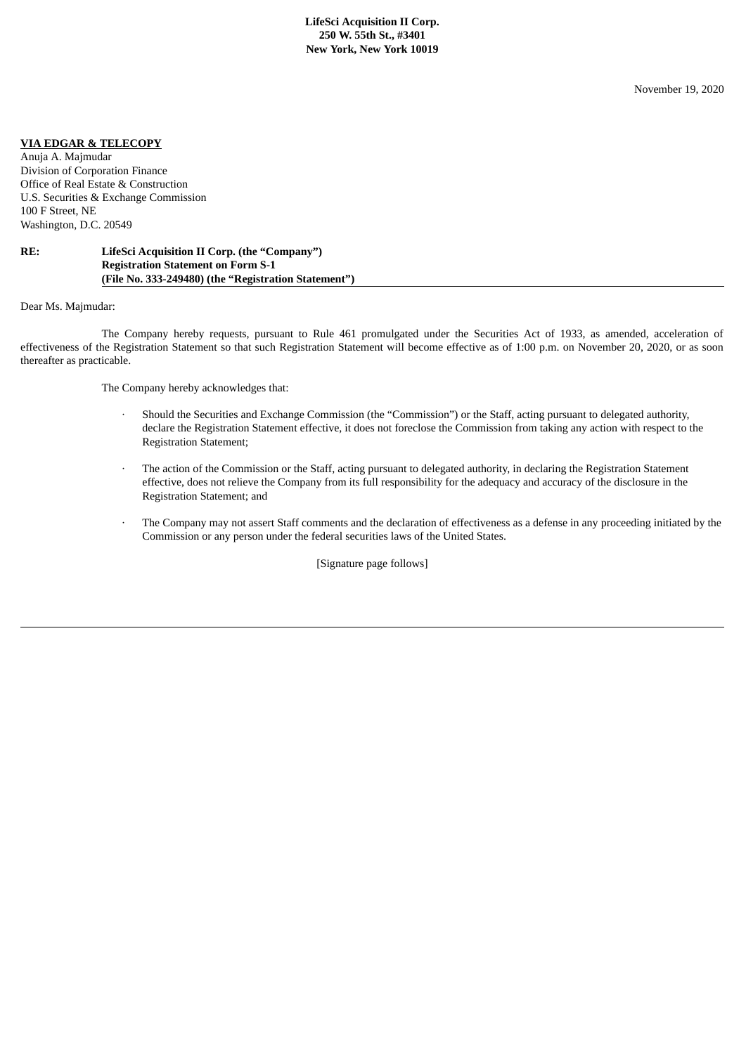November 19, 2020

## **VIA EDGAR & TELECOPY**

Anuja A. Majmudar Division of Corporation Finance Office of Real Estate & Construction U.S. Securities & Exchange Commission 100 F Street, NE Washington, D.C. 20549

## **RE: LifeSci Acquisition II Corp. (the "Company") Registration Statement on Form S-1 (File No. 333-249480) (the "Registration Statement")**

Dear Ms. Majmudar:

The Company hereby requests, pursuant to Rule 461 promulgated under the Securities Act of 1933, as amended, acceleration of effectiveness of the Registration Statement so that such Registration Statement will become effective as of 1:00 p.m. on November 20, 2020, or as soon thereafter as practicable.

The Company hereby acknowledges that:

- · Should the Securities and Exchange Commission (the "Commission") or the Staff, acting pursuant to delegated authority, declare the Registration Statement effective, it does not foreclose the Commission from taking any action with respect to the Registration Statement;
- The action of the Commission or the Staff, acting pursuant to delegated authority, in declaring the Registration Statement effective, does not relieve the Company from its full responsibility for the adequacy and accuracy of the disclosure in the Registration Statement; and
- · The Company may not assert Staff comments and the declaration of effectiveness as a defense in any proceeding initiated by the Commission or any person under the federal securities laws of the United States.

[Signature page follows]